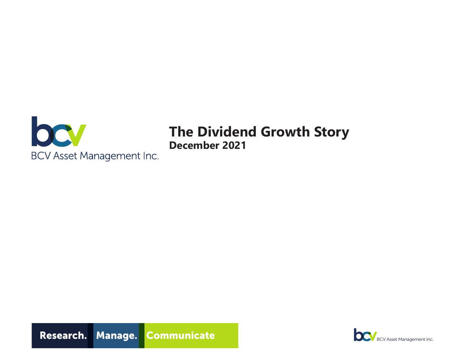

# **The Dividend Growth Story December 2021**



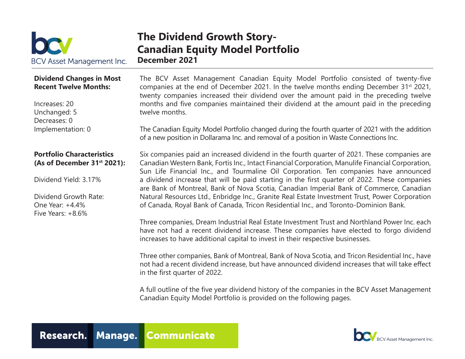

### **The Dividend Growth Story-Canadian Equity Model Portfolio December 2021**

#### **Dividend Changes in Most Recent Twelve Months:**

Increases: 20 Unchanged: 5 Decreases: 0 Implementation: 0

#### **Portfolio Characteristics (As of December 31st 2021):**

Dividend Yield: 3.17%

Dividend Growth Rate: One Year: +4.4% Five Years: +8.6%

The BCV Asset Management Canadian Equity Model Portfolio consisted of twenty-five companies at the end of December 2021. In the twelve months ending December 31<sup>st</sup> 2021, twenty companies increased their dividend over the amount paid in the preceding twelve months and five companies maintained their dividend at the amount paid in the preceding twelve months.

The Canadian Equity Model Portfolio changed during the fourth quarter of 2021 with the addition of a new position in Dollarama Inc. and removal of a position in Waste Connections Inc.

Six companies paid an increased dividend in the fourth quarter of 2021. These companies are Canadian Western Bank, Fortis Inc., Intact Financial Corporation, Manulife Financial Corporation, Sun Life Financial Inc., and Tourmaline Oil Corporation. Ten companies have announced a dividend increase that will be paid starting in the first quarter of 2022. These companies are Bank of Montreal, Bank of Nova Scotia, Canadian Imperial Bank of Commerce, Canadian Natural Resources Ltd., Enbridge Inc., Granite Real Estate Investment Trust, Power Corporation of Canada, Royal Bank of Canada, Tricon Residential Inc., and Toronto-Dominion Bank.

Three companies, Dream Industrial Real Estate Investment Trust and Northland Power Inc. each have not had a recent dividend increase. These companies have elected to forgo dividend increases to have additional capital to invest in their respective businesses.

Three other companies, Bank of Montreal, Bank of Nova Scotia, and Tricon Residential Inc., have not had a recent dividend increase, but have announced dividend increases that will take effect in the first quarter of 2022.

A full outline of the five year dividend history of the companies in the BCV Asset Management Canadian Equity Model Portfolio is provided on the following pages.



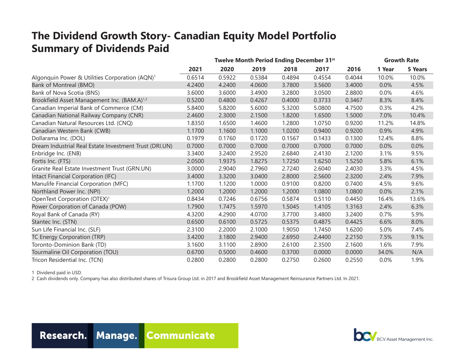## **The Dividend Growth Story- Canadian Equity Model Portfolio Summary of Dividends Paid**

|                                                            | Twelve Month Period Ending December 31 <sup>st</sup> |        |        |        |        | <b>Growth Rate</b> |        |         |
|------------------------------------------------------------|------------------------------------------------------|--------|--------|--------|--------|--------------------|--------|---------|
|                                                            | 2021                                                 | 2020   | 2019   | 2018   | 2017   | 2016               | 1 Year | 5 Years |
| Algonquin Power & Utilities Corporation (AQN) <sup>1</sup> | 0.6514                                               | 0.5922 | 0.5384 | 0.4894 | 0.4554 | 0.4044             | 10.0%  | 10.0%   |
| Bank of Montreal (BMO)                                     | 4.2400                                               | 4.2400 | 4.0600 | 3.7800 | 3.5600 | 3.4000             | 0.0%   | 4.5%    |
| Bank of Nova Scotia (BNS)                                  | 3.6000                                               | 3.6000 | 3.4900 | 3.2800 | 3.0500 | 2.8800             | 0.0%   | 4.6%    |
| Brookfield Asset Management Inc. (BAM.A) <sup>1,2</sup>    | 0.5200                                               | 0.4800 | 0.4267 | 0.4000 | 0.3733 | 0.3467             | 8.3%   | 8.4%    |
| Canadian Imperial Bank of Commerce (CM)                    | 5.8400                                               | 5.8200 | 5.6000 | 5.3200 | 5.0800 | 4.7500             | 0.3%   | 4.2%    |
| Canadian National Railway Company (CNR)                    | 2.4600                                               | 2.3000 | 2.1500 | 1.8200 | 1.6500 | 1.5000             | 7.0%   | 10.4%   |
| Canadian Natural Resources Ltd. (CNQ)                      | 1.8350                                               | 1.6500 | 1.4600 | 1.2800 | 1.0750 | 0.9200             | 11.2%  | 14.8%   |
| Canadian Western Bank (CWB)                                | 1.1700                                               | 1.1600 | 1.1000 | 1.0200 | 0.9400 | 0.9200             | 0.9%   | 4.9%    |
| Dollarama Inc. (DOL)                                       | 0.1979                                               | 0.1760 | 0.1720 | 0.1567 | 0.1433 | 0.1300             | 12.4%  | 8.8%    |
| Dream Industrial Real Estate Investment Trust (DRI.UN)     | 0.7000                                               | 0.7000 | 0.7000 | 0.7000 | 0.7000 | 0.7000             | 0.0%   | 0.0%    |
| Enbridge Inc. (ENB)                                        | 3.3400                                               | 3.2400 | 2.9520 | 2.6840 | 2.4130 | 2.1200             | 3.1%   | 9.5%    |
| Fortis Inc. (FTS)                                          | 2.0500                                               | 1.9375 | 1.8275 | 1.7250 | 1.6250 | 1.5250             | 5.8%   | 6.1%    |
| Granite Real Estate Investment Trust (GRN.UN)              | 3.0000                                               | 2.9040 | 2.7960 | 2.7240 | 2.6040 | 2.4030             | 3.3%   | 4.5%    |
| Intact Financial Corporation (IFC)                         | 3.4000                                               | 3.3200 | 3.0400 | 2.8000 | 2.5600 | 2.3200             | 2.4%   | 7.9%    |
| Manulife Financial Corporation (MFC)                       | 1.1700                                               | 1.1200 | 1.0000 | 0.9100 | 0.8200 | 0.7400             | 4.5%   | 9.6%    |
| Northland Power Inc. (NPI)                                 | 1.2000                                               | 1.2000 | 1.2000 | 1.2000 | 1.0800 | 1.0800             | 0.0%   | 2.1%    |
| OpenText Corporation (OTEX) <sup>1</sup>                   | 0.8434                                               | 0.7246 | 0.6756 | 0.5874 | 0.5110 | 0.4450             | 16.4%  | 13.6%   |
| Power Corporation of Canada (POW)                          | 1.7900                                               | 1.7475 | 1.5970 | 1.5045 | 1.4105 | 1.3163             | 2.4%   | 6.3%    |
| Royal Bank of Canada (RY)                                  | 4.3200                                               | 4.2900 | 4.0700 | 3.7700 | 3.4800 | 3.2400             | 0.7%   | 5.9%    |
| Stantec Inc. (STN)                                         | 0.6500                                               | 0.6100 | 0.5725 | 0.5375 | 0.4875 | 0.4425             | 6.6%   | 8.0%    |
| Sun Life Financial Inc. (SLF)                              | 2.3100                                               | 2.2000 | 2.1000 | 1.9050 | 1.7450 | 1.6200             | 5.0%   | 7.4%    |
| TC Energy Corporation (TRP)                                | 3.4200                                               | 3.1800 | 2.9400 | 2.6950 | 2.4400 | 2.2150             | 7.5%   | 9.1%    |
| Toronto-Dominion Bank (TD)                                 | 3.1600                                               | 3.1100 | 2.8900 | 2.6100 | 2.3500 | 2.1600             | 1.6%   | 7.9%    |
| Tourmaline Oil Corporation (TOU)                           | 0.6700                                               | 0.5000 | 0.4600 | 0.3700 | 0.0000 | 0.0000             | 34.0%  | N/A     |
| Tricon Residential Inc. (TCN)                              | 0.2800                                               | 0.2800 | 0.2800 | 0.2750 | 0.2600 | 0.2550             | 0.0%   | 1.9%    |

1 Dividend paid in USD.

2 Cash dividends only. Company has also distributed shares of Trisura Group Ltd. in 2017 and Brookfield Asset Management Reinsurance Partners Ltd. In 2021.



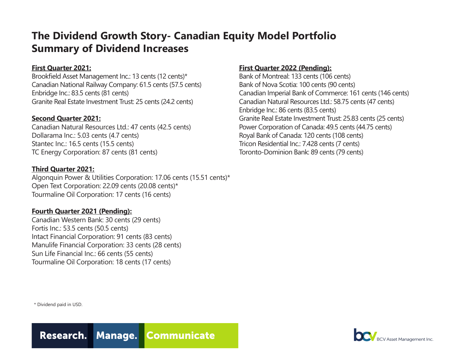## **The Dividend Growth Story- Canadian Equity Model Portfolio Summary of Dividend Increases**

#### **First Quarter 2021:**

Brookfield Asset Management Inc.: 13 cents (12 cents)\* Canadian National Railway Company: 61.5 cents (57.5 cents) Enbridge Inc.: 83.5 cents (81 cents) Granite Real Estate Investment Trust: 25 cents (24.2 cents)

#### **Second Quarter 2021:**

Canadian Natural Resources Ltd.: 47 cents (42.5 cents) Dollarama Inc.: 5.03 cents (4.7 cents) Stantec Inc.: 16.5 cents (15.5 cents) TC Energy Corporation: 87 cents (81 cents)

#### **Third Quarter 2021:**

Algonquin Power & Utilities Corporation: 17.06 cents (15.51 cents)\* Open Text Corporation: 22.09 cents (20.08 cents)\* Tourmaline Oil Corporation: 17 cents (16 cents)

#### **Fourth Quarter 2021 (Pending):**

Canadian Western Bank: 30 cents (29 cents) Fortis Inc.: 53.5 cents (50.5 cents) Intact Financial Corporation: 91 cents (83 cents) Manulife Financial Corporation: 33 cents (28 cents) Sun Life Financial Inc.: 66 cents (55 cents) Tourmaline Oil Corporation: 18 cents (17 cents)

#### **First Quarter 2022 (Pending):**

Bank of Montreal: 133 cents (106 cents) Bank of Nova Scotia: 100 cents (90 cents) Canadian Imperial Bank of Commerce: 161 cents (146 cents) Canadian Natural Resources Ltd.: 58.75 cents (47 cents) Enbridge Inc.: 86 cents (83.5 cents) Granite Real Estate Investment Trust: 25.83 cents (25 cents) Power Corporation of Canada: 49.5 cents (44.75 cents) Royal Bank of Canada: 120 cents (108 cents) Tricon Residential Inc.: 7.428 cents (7 cents) Toronto-Dominion Bank: 89 cents (79 cents)

\* Dividend paid in USD.



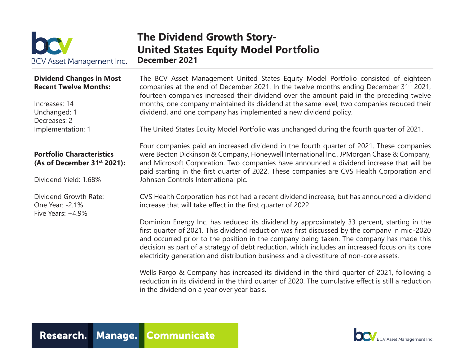

### **The Dividend Growth Story-United States Equity Model Portfolio December 2021**

#### **Dividend Changes in Most Recent Twelve Months:**

Increases: 14 Unchanged: 1 Decreases: 2 Implementation: 1

#### **Portfolio Characteristics (As of December 31st 2021):**

Dividend Yield: 1.68%

Dividend Growth Rate: One Year: -2.1% Five Years: +4.9%

The BCV Asset Management United States Equity Model Portfolio consisted of eighteen companies at the end of December 2021. In the twelve months ending December 31<sup>st</sup> 2021, fourteen companies increased their dividend over the amount paid in the preceding twelve months, one company maintained its dividend at the same level, two companies reduced their dividend, and one company has implemented a new dividend policy.

The United States Equity Model Portfolio was unchanged during the fourth quarter of 2021.

Four companies paid an increased dividend in the fourth quarter of 2021. These companies were Becton Dickinson & Company, Honeywell International Inc., JPMorgan Chase & Company, and Microsoft Corporation. Two companies have announced a dividend increase that will be paid starting in the first quarter of 2022. These companies are CVS Health Corporation and Johnson Controls International plc.

CVS Health Corporation has not had a recent dividend increase, but has announced a dividend increase that will take effect in the first quarter of 2022.

Dominion Energy Inc. has reduced its dividend by approximately 33 percent, starting in the first quarter of 2021. This dividend reduction was first discussed by the company in mid-2020 and occurred prior to the position in the company being taken. The company has made this decision as part of a strategy of debt reduction, which includes an increased focus on its core electricity generation and distribution business and a divestiture of non-core assets.

Wells Fargo & Company has increased its dividend in the third quarter of 2021, following a reduction in its dividend in the third quarter of 2020. The cumulative effect is still a reduction in the dividend on a year over year basis.



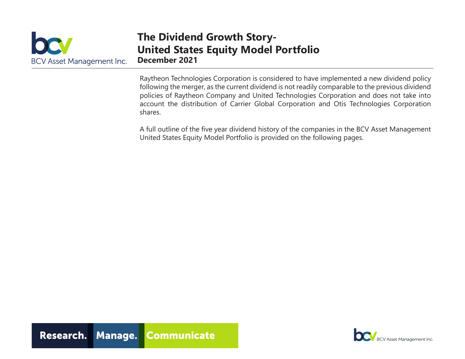|                           | Гł |
|---------------------------|----|
| DC                        |    |
| BCV Asset Management Inc. | De |

### **The Dividend Growth Story-United States Equity Model Portfolio December 2021**

Raytheon Technologies Corporation is considered to have implemented a new dividend policy following the merger, as the current dividend is not readily comparable to the previous dividend policies of Raytheon Company and United Technologies Corporation and does not take into account the distribution of Carrier Global Corporation and Otis Technologies Corporation shares.

A full outline of the five year dividend history of the companies in the BCV Asset Management United States Equity Model Portfolio is provided on the following pages.

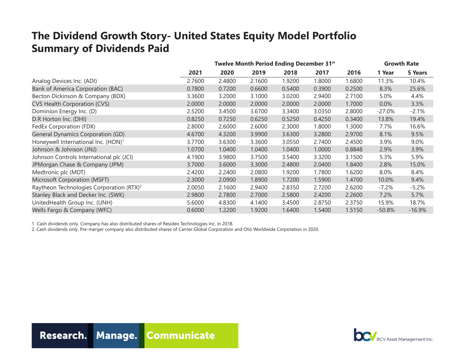## **The Dividend Growth Story- United States Equity Model Portfolio Summary of Dividends Paid**

|                                                      | Twelve Month Period Ending December 31st |        |        |        |        | <b>Growth Rate</b> |           |          |
|------------------------------------------------------|------------------------------------------|--------|--------|--------|--------|--------------------|-----------|----------|
|                                                      | 2021                                     | 2020   | 2019   | 2018   | 2017   | 2016               | 1 Year    | 5 Years  |
| Analog Devices Inc. (ADI)                            | 2.7600                                   | 2.4800 | 2.1600 | 1.9200 | 1.8000 | 1.6800             | 11.3%     | 10.4%    |
| Bank of America Corporation (BAC)                    | 0.7800                                   | 0.7200 | 0.6600 | 0.5400 | 0.3900 | 0.2500             | 8.3%      | 25.6%    |
| Becton Dickinson & Company (BDX)                     | 3.3600                                   | 3.2000 | 3.1000 | 3.0200 | 2.9400 | 2.7100             | 5.0%      | 4.4%     |
| CVS Health Corporation (CVS)                         | 2.0000                                   | 2.0000 | 2.0000 | 2.0000 | 2.0000 | 1.7000             | $0.0\%$   | 3.3%     |
| Dominion Energy Inc. (D)                             | 2.5200                                   | 3.4500 | 3.6700 | 3.3400 | 3.0350 | 2.8000             | $-27.0\%$ | $-2.1%$  |
| D.R Horton Inc. (DHI)                                | 0.8250                                   | 0.7250 | 0.6250 | 0.5250 | 0.4250 | 0.3400             | 13.8%     | 19.4%    |
| FedEx Corporation (FDX)                              | 2.8000                                   | 2.6000 | 2.6000 | 2.3000 | 1.8000 | 1.3000             | 7.7%      | 16.6%    |
| General Dynamics Corporation (GD)                    | 4.6700                                   | 4.3200 | 3.9900 | 3.6300 | 3.2800 | 2.9700             | 8.1%      | 9.5%     |
| Honeywell International Inc. (HON) <sup>1</sup>      | 3.7700                                   | 3.6300 | 3.3600 | 3.0550 | 2.7400 | 2.4500             | 3.9%      | 9.0%     |
| Johnson & Johnson (JNJ)                              | 1.0700                                   | 1.0400 | 1.0400 | 1.0400 | 1.0000 | 0.8848             | 2.9%      | 3.9%     |
| Johnson Controls International plc (JCI)             | 4.1900                                   | 3.9800 | 3.7500 | 3.5400 | 3.3200 | 3.1500             | 5.3%      | 5.9%     |
| JPMorgan Chase & Company (JPM)                       | 3.7000                                   | 3.6000 | 3.3000 | 2.4800 | 2.0400 | 1.8400             | 2.8%      | 15.0%    |
| Medtronic plc (MDT)                                  | 2.4200                                   | 2.2400 | 2.0800 | 1.9200 | 1.7800 | 1.6200             | 8.0%      | 8.4%     |
| Microsoft Corporation (MSFT)                         | 2.3000                                   | 2.0900 | 1.8900 | 1.7200 | 1.5900 | 1.4700             | 10.0%     | 9.4%     |
| Raytheon Technologies Corporation (RTX) <sup>2</sup> | 2.0050                                   | 2.1600 | 2.9400 | 2.8350 | 2.7200 | 2.6200             | $-7.2\%$  | $-5.2%$  |
| Stanley Black and Decker Inc. (SWK)                  | 2.9800                                   | 2.7800 | 2.7000 | 2.5800 | 2.4200 | 2.2600             | 7.2%      | 5.7%     |
| UnitedHealth Group Inc. (UNH)                        | 5.6000                                   | 4.8300 | 4.1400 | 3.4500 | 2.8750 | 2.3750             | 15.9%     | 18.7%    |
| Wells Fargo & Company (WFC)                          | 0.6000                                   | 1.2200 | 1.9200 | 1.6400 | 1.5400 | 1.5150             | $-50.8%$  | $-16.9%$ |

1 Cash dividends only. Company has also distributed shares of Resideo Technologies Inc. in 2018.

2. Cash dividends only. Pre-merger company also distributed shares of Carrier Global Corporation and Otis Worldwide Corporation in 2020.



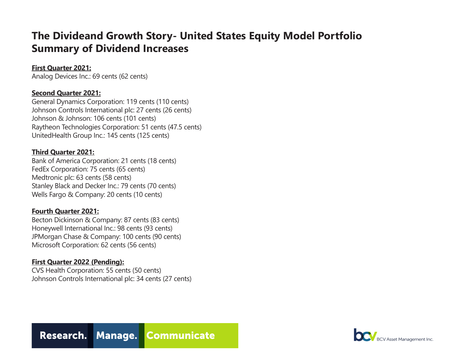### **The Divideand Growth Story- United States Equity Model Portfolio Summary of Dividend Increases**

#### **First Quarter 2021:**

Analog Devices Inc.: 69 cents (62 cents)

#### **Second Quarter 2021:**

General Dynamics Corporation: 119 cents (110 cents) Johnson Controls International plc: 27 cents (26 cents) Johnson & Johnson: 106 cents (101 cents) Raytheon Technologies Corporation: 51 cents (47.5 cents) UnitedHealth Group Inc.: 145 cents (125 cents)

#### **Third Quarter 2021:**

Bank of America Corporation: 21 cents (18 cents) FedEx Corporation: 75 cents (65 cents) Medtronic plc: 63 cents (58 cents) Stanley Black and Decker Inc.: 79 cents (70 cents) Wells Fargo & Company: 20 cents (10 cents)

#### **Fourth Quarter 2021:**

Becton Dickinson & Company: 87 cents (83 cents) Honeywell International Inc.: 98 cents (93 cents) JPMorgan Chase & Company: 100 cents (90 cents) Microsoft Corporation: 62 cents (56 cents)

#### **First Quarter 2022 (Pending):**

CVS Health Corporation: 55 cents (50 cents) Johnson Controls International plc: 34 cents (27 cents)